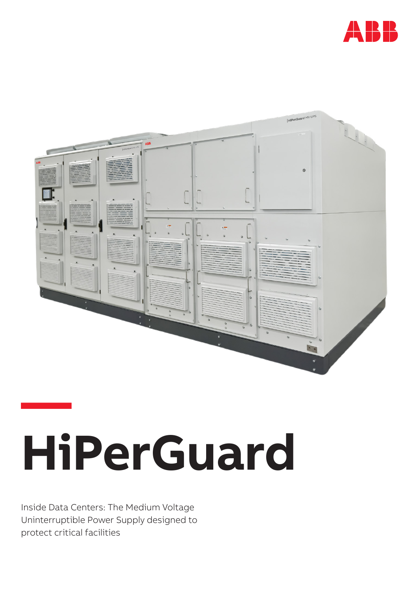



# **— HiPerGuard**

Inside Data Centers: The Medium Voltage Uninterruptible Power Supply designed to protect critical facilities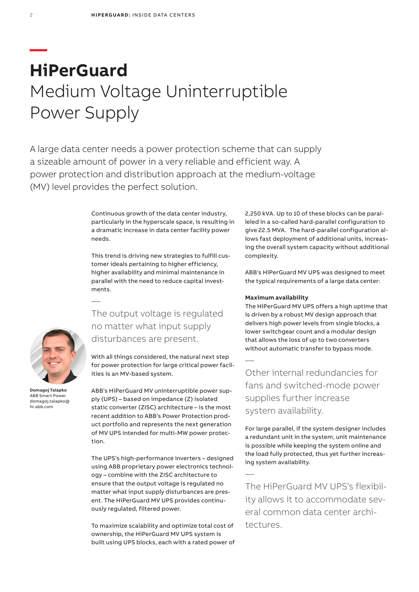# **HiPerGuard** Medium Voltage Uninterruptible Power Supply

A large data center needs a power protection scheme that can supply a sizeable amount of power in a very reliable and efficient way. A power protection and distribution approach at the medium-voltage (MV) level provides the perfect solution.

> Continuous growth of the data center industry, particularly in the hyperscale space, is resulting in a dramatic increase in data center facility power needs.

This trend is driving new strategies to fulfill customer ideals pertaining to higher efficiency, higher availability and minimal maintenance in parallel with the need to reduce capital investments.

The output voltage is regulated no matter what input supply disturbances are present.

With all things considered, the natural next step for power protection for large critical power facilities is an MV-based system.

ABB's HiPerGuard MV uninterruptible power supply (UPS) – based on impedance (Z) isolated static converter (ZISC) architecture – is the most recent addition to ABB's Power Protection product portfolio and represents the next generation of MV UPS intended for multi-MW power protection.

The UPS's high-performance inverters – designed using ABB proprietary power electronics technology – combine with the ZISC architecture to ensure that the output voltage is regulated no matter what input supply disturbances are present. The HiPerGuard MV UPS provides continuously regulated, filtered power.

To maximize scalability and optimize total cost of ownership, the HiPerGuard MV UPS system is built using UPS blocks, each with a rated power of 2,250 kVA. Up to 10 of these blocks can be paralleled in a so-called hard-parallel configuration to give 22.5 MVA. The hard-parallel configuration allows fast deployment of additional units, increasing the overall system capacity without additional complexity.

ABB's HiPerGuard MV UPS was designed to meet the typical requirements of a large data center:

# **Maximum availability**

—

—

The HiPerGuard MV UPS offers a high uptime that is driven by a robust MV design approach that delivers high power levels from single blocks, a lower switchgear count and a modular design that allows the loss of up to two converters without automatic transfer to bypass mode.

Other internal redundancies for fans and switched-mode power supplies further increase system availability.

For large parallel, if the system designer includes a redundant unit in the system, unit maintenance is possible while keeping the system online and the load fully protected, thus yet further increasing system availability.

The HiPerGuard MV UPS's flexibility allows it to accommodate several common data center architectures.



—

**Domagoj Talapko** ABB Smart Power domagoj.talapko@ hr.abb.com

**—**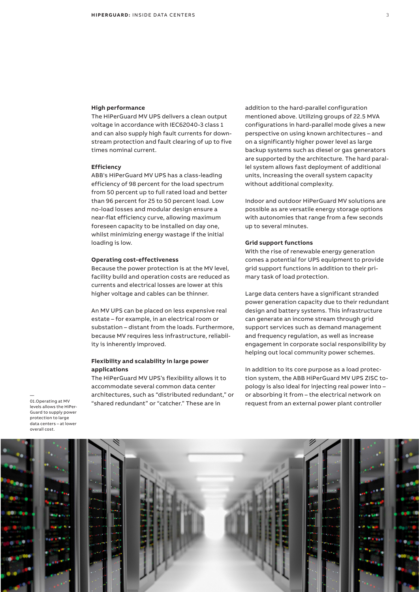## **High performance**

The HiPerGuard MV UPS delivers a clean output voltage in accordance with IEC62040-3 class 1 and can also supply high fault currents for downstream protection and fault clearing of up to five times nominal current.

#### **Efficiency**

ABB's HiPerGuard MV UPS has a class-leading efficiency of 98 percent for the load spectrum from 50 percent up to full rated load and better than 96 percent for 25 to 50 percent load. Low no-load losses and modular design ensure a near-flat efficiency curve, allowing maximum foreseen capacity to be installed on day one, whilst minimizing energy wastage if the initial loading is low.

#### **Operating cost-effectiveness**

Because the power protection is at the MV level, facility build and operation costs are reduced as currents and electrical losses are lower at this higher voltage and cables can be thinner.

An MV UPS can be placed on less expensive real estate – for example, in an electrical room or substation – distant from the loads. Furthermore, because MV requires less infrastructure, reliability is inherently improved.

# **Flexibility and scalability in large power applications**

The HiPerGuard MV UPS's flexibility allows it to accommodate several common data center architectures, such as "distributed redundant," or "shared redundant" or "catcher." These are in

addition to the hard-parallel configuration mentioned above. Utilizing groups of 22.5 MVA configurations in hard-parallel mode gives a new perspective on using known architectures – and on a significantly higher power level as large backup systems such as diesel or gas generators are supported by the architecture. The hard parallel system allows fast deployment of additional units, increasing the overall system capacity without additional complexity.

Indoor and outdoor HiPerGuard MV solutions are possible as are versatile energy storage options with autonomies that range from a few seconds up to several minutes.

## **Grid support functions**

With the rise of renewable energy generation comes a potential for UPS equipment to provide grid support functions in addition to their primary task of load protection.

Large data centers have a significant stranded power generation capacity due to their redundant design and battery systems. This infrastructure can generate an income stream through grid support services such as demand management and frequency regulation, as well as increase engagement in corporate social responsibility by helping out local community power schemes.

In addition to its core purpose as a load protection system, the ABB HiPerGuard MV UPS ZISC topology is also ideal for injecting real power into – or absorbing it from – the electrical network on request from an external power plant controller

— 01.Operating at MV levels allows the HiPer-Guard to supply power protection to large data centers – at lower overall cost.

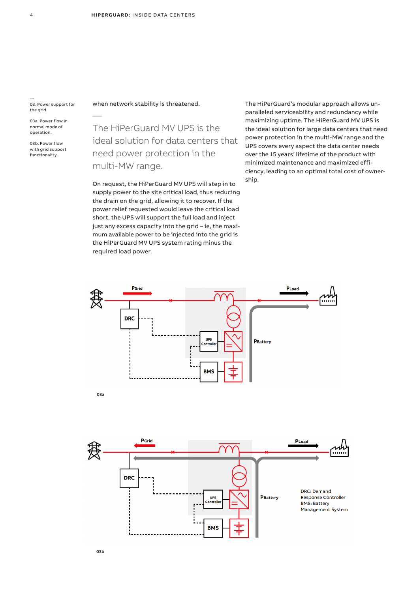— 03. Power support for the grid.

—

03a. Power flow in normal mode of operation.

03b. Power flow with grid support functionality.

when network stability is threatened.

The HiPerGuard MV UPS is the ideal solution for data centers that need power protection in the multi-MW range.

On request, the HiPerGuard MV UPS will step in to supply power to the site critical load, thus reducing the drain on the grid, allowing it to recover. If the power relief requested would leave the critical load short, the UPS will support the full load and inject just any excess capacity into the grid – ie, the maximum available power to be injected into the grid is the HiPerGuard MV UPS system rating minus the required load power.

The HiPerGuard's modular approach allows unparalleled serviceability and redundancy while maximizing uptime. The HiPerGuard MV UPS is the ideal solution for large data centers that need power protection in the multi-MW range and the UPS covers every aspect the data center needs over the 15 years' lifetime of the product with minimized maintenance and maximized efficiency, leading to an optimal total cost of ownership.